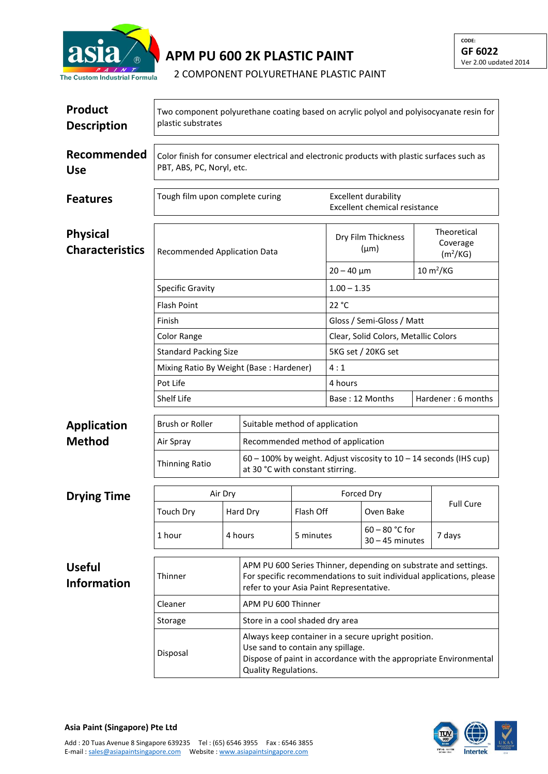

**APM PU 600 2K PLASTIC PAINT**

2 COMPONENT POLYURETHANE PLASTIC PAINT

| <b>Product</b><br><b>Description</b>      | Two component polyurethane coating based on acrylic polyol and polyisocyanate resin for<br>plastic substrates           |                                                                                                                                                                                       |                                                                                                                                                                                     |                                 |                                      |                                       |                                                 |                            |  |
|-------------------------------------------|-------------------------------------------------------------------------------------------------------------------------|---------------------------------------------------------------------------------------------------------------------------------------------------------------------------------------|-------------------------------------------------------------------------------------------------------------------------------------------------------------------------------------|---------------------------------|--------------------------------------|---------------------------------------|-------------------------------------------------|----------------------------|--|
| Recommended<br><b>Use</b>                 | Color finish for consumer electrical and electronic products with plastic surfaces such as<br>PBT, ABS, PC, Noryl, etc. |                                                                                                                                                                                       |                                                                                                                                                                                     |                                 |                                      |                                       |                                                 |                            |  |
| <b>Features</b>                           | Tough film upon complete curing                                                                                         |                                                                                                                                                                                       | <b>Excellent durability</b><br>Excellent chemical resistance                                                                                                                        |                                 |                                      |                                       |                                                 |                            |  |
| <b>Physical</b><br><b>Characteristics</b> | <b>Recommended Application Data</b>                                                                                     |                                                                                                                                                                                       |                                                                                                                                                                                     | Dry Film Thickness<br>$(\mu m)$ |                                      |                                       | Theoretical<br>Coverage<br>(m <sup>2</sup> /KG) |                            |  |
|                                           |                                                                                                                         |                                                                                                                                                                                       |                                                                                                                                                                                     |                                 | $20 - 40 \mu m$                      |                                       |                                                 | $10 \text{ m}^2/\text{KG}$ |  |
|                                           | Specific Gravity                                                                                                        |                                                                                                                                                                                       |                                                                                                                                                                                     |                                 | $1.00 - 1.35$                        |                                       |                                                 |                            |  |
|                                           | <b>Flash Point</b>                                                                                                      |                                                                                                                                                                                       |                                                                                                                                                                                     |                                 | 22 °C                                |                                       |                                                 |                            |  |
|                                           | Finish                                                                                                                  |                                                                                                                                                                                       |                                                                                                                                                                                     |                                 | Gloss / Semi-Gloss / Matt            |                                       |                                                 |                            |  |
|                                           | <b>Color Range</b>                                                                                                      |                                                                                                                                                                                       |                                                                                                                                                                                     |                                 | Clear, Solid Colors, Metallic Colors |                                       |                                                 |                            |  |
|                                           | <b>Standard Packing Size</b>                                                                                            |                                                                                                                                                                                       |                                                                                                                                                                                     |                                 | 5KG set / 20KG set                   |                                       |                                                 |                            |  |
|                                           |                                                                                                                         | Mixing Ratio By Weight (Base: Hardener)                                                                                                                                               |                                                                                                                                                                                     |                                 |                                      | 4:1                                   |                                                 |                            |  |
|                                           |                                                                                                                         | Pot Life                                                                                                                                                                              |                                                                                                                                                                                     |                                 |                                      | 4 hours                               |                                                 |                            |  |
|                                           |                                                                                                                         | <b>Shelf Life</b>                                                                                                                                                                     |                                                                                                                                                                                     |                                 |                                      | Hardener: 6 months<br>Base: 12 Months |                                                 |                            |  |
| <b>Application</b>                        | Brush or Roller                                                                                                         |                                                                                                                                                                                       | Suitable method of application                                                                                                                                                      |                                 |                                      |                                       |                                                 |                            |  |
| <b>Method</b>                             | Air Spray                                                                                                               |                                                                                                                                                                                       | Recommended method of application                                                                                                                                                   |                                 |                                      |                                       |                                                 |                            |  |
|                                           | Thinning Ratio                                                                                                          |                                                                                                                                                                                       | $60 - 100\%$ by weight. Adjust viscosity to $10 - 14$ seconds (IHS cup)<br>at 30 °C with constant stirring.                                                                         |                                 |                                      |                                       |                                                 |                            |  |
| <b>Drying Time</b>                        | Air Dry                                                                                                                 |                                                                                                                                                                                       |                                                                                                                                                                                     | Forced Dry                      |                                      |                                       |                                                 |                            |  |
|                                           | Touch Dry                                                                                                               |                                                                                                                                                                                       | Hard Dry                                                                                                                                                                            | Flash Off                       |                                      | Oven Bake                             |                                                 | <b>Full Cure</b>           |  |
|                                           | 1 hour                                                                                                                  | 4 hours                                                                                                                                                                               |                                                                                                                                                                                     | 5 minutes                       |                                      | $60 - 80$ °C for<br>$30 - 45$ minutes |                                                 | 7 days                     |  |
| <b>Useful</b><br><b>Information</b>       | Thinner<br>Cleaner                                                                                                      |                                                                                                                                                                                       | APM PU 600 Series Thinner, depending on substrate and settings.<br>For specific recommendations to suit individual applications, please<br>refer to your Asia Paint Representative. |                                 |                                      |                                       |                                                 |                            |  |
|                                           |                                                                                                                         |                                                                                                                                                                                       | APM PU 600 Thinner                                                                                                                                                                  |                                 |                                      |                                       |                                                 |                            |  |
|                                           | Storage                                                                                                                 | Store in a cool shaded dry area                                                                                                                                                       |                                                                                                                                                                                     |                                 |                                      |                                       |                                                 |                            |  |
|                                           | Disposal                                                                                                                | Always keep container in a secure upright position.<br>Use sand to contain any spillage.<br>Dispose of paint in accordance with the appropriate Environmental<br>Quality Regulations. |                                                                                                                                                                                     |                                 |                                      |                                       |                                                 |                            |  |